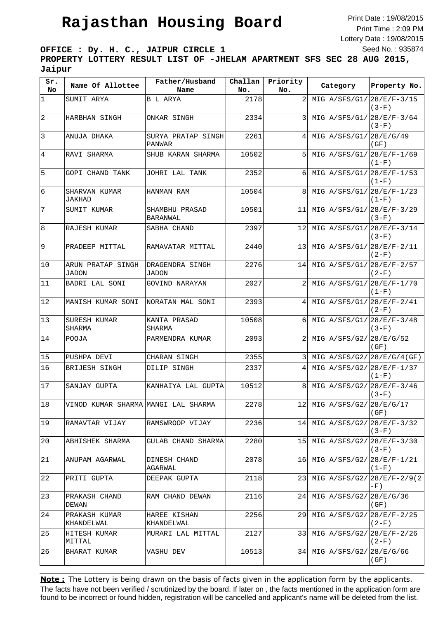## **Rajasthan Housing Board**

Print Date : 19/08/2015 Print Time : 2:09 PM Lottery Date : 19/08/2015 Seed No. : 935874

**OFFICE : Dy. H. C., JAIPUR CIRCLE 1**

**PROPERTY LOTTERY RESULT LIST OF -JHELAM APARTMENT SFS SEC 28 AUG 2015, Jaipur**

| Sr.<br>No.  | Name Of Allottee                    | Father/Husband<br>Name              | Challan<br>No. | Priority<br>No. | Category                      | Property No. |
|-------------|-------------------------------------|-------------------------------------|----------------|-----------------|-------------------------------|--------------|
| $\mathbf 1$ | SUMIT ARYA                          | B L ARYA                            | 2178           |                 | MIG $A/SFS/G1/28/E/F-3/15$    | $(3-F)$      |
| $\vert$ 2   | HARBHAN SINGH                       | ONKAR SINGH                         | 2334           | 3               | MIG $A/SFS/G1/[28/E/F-3/64]$  | $(3-F)$      |
| $ 3\rangle$ | ANUJA DHAKA                         | SURYA PRATAP SINGH<br><b>PANWAR</b> | 2261           | 4               | MIG $A/SFS/G1/[28/E/G/49]$    | (GF)         |
| 4           | RAVI SHARMA                         | SHUB KARAN SHARMA                   | 10502          | 5               | MIG $A/SFS/G1/128/E/F-1/69$   | $(1-F)$      |
| 5           | GOPI CHAND TANK                     | JOHRI LAL TANK                      | 2352           | 6               | MIG $A/SFS/G1/28/E/F-1/53$    | $(1-F)$      |
| 6           | SHARVAN KUMAR<br>JAKHAD             | HANMAN RAM                          | 10504          | 8               | MIG A/SFS/G1/28/E/F-1/23      | $(1-F)$      |
| 7           | SUMIT KUMAR                         | SHAMBHU PRASAD<br>BARANWAL          | 10501          | 11              | MIG $A/SFS/G1/[28/E/F-3/29]$  | $(3-F)$      |
| 8           | RAJESH KUMAR                        | SABHA CHAND                         | 2397           | 12              | MIG $A/SFS/G1/[28/E/F-3/14]$  | $(3-F)$      |
| 9           | PRADEEP MITTAL                      | RAMAVATAR MITTAL                    | 2440           | 13              | MIG $A/SFS/G1/28/E/F-2/11$    | $(2-F)$      |
| 10          | ARUN PRATAP SINGH<br>JADON          | DRAGENDRA SINGH<br><b>JADON</b>     | 2276           | 14              | MIG $A/SFS/G1/[28/E/F-2/57]$  | $(2-F)$      |
| 11          | BADRI LAL SONI                      | GOVIND NARAYAN                      | 2027           | 2               | MIG $A/SFS/G1/28/E/F-1/70$    | $(1-F)$      |
| 12          | MANISH KUMAR SONI                   | NORATAN MAL SONI                    | 2393           |                 | MIG A/SFS/G1/28/E/F-2/41      | $(2-F)$      |
| 13          | SURESH KUMAR<br>SHARMA              | KANTA PRASAD<br>SHARMA              | 10508          | 6               | MIG $A/SFS/G1/128/E/F-3/48$   | $(3-F)$      |
| 14          | POOJA                               | PARMENDRA KUMAR                     | 2093           | 2               | MIG $A/SFS/G2/28/E/G/52$      | (GF)         |
| 15          | PUSHPA DEVI                         | CHARAN SINGH                        | 2355           | 3               | MIG $A/SFS/G2/[28/E/G/4(GF)]$ |              |
| 16          | BRIJESH SINGH                       | DILIP SINGH                         | 2337           | 4               | MIG A/SFS/G2/28/E/F-1/37      | $(1-F)$      |
| 17          | SANJAY GUPTA                        | KANHAIYA LAL GUPTA                  | 10512          | 8               | MIG A/SFS/G2/28/E/F-3/46      | $(3-F)$      |
| 18          | VINOD KUMAR SHARMA MANGI LAL SHARMA |                                     | 2278           |                 | 12 MIG A/SFS/G2/28/E/G/17     | (GF)         |
| 19          | RAMAVTAR VIJAY                      | RAMSWROOP VIJAY                     | 2236           | 14 <sub>1</sub> | MIG $A/SFS/G2/28/E/F-3/32$    | $(3-F)$      |
| 20          | ABHISHEK SHARMA                     | GULAB CHAND SHARMA                  | 2280           | 15 <sub>l</sub> | MIG $A/SFS/G2/28/E/F-3/30$    | $(3-F)$      |
| 21          | ANUPAM AGARWAL                      | DINESH CHAND<br>AGARWAL             | 2078           | 16              | MIG A/SFS/G2/28/E/F-1/21      | $(1-F)$      |
| 22          | PRITI GUPTA                         | DEEPAK GUPTA                        | 2118           | 231             | MIG $A/SFS/G2/28/E/F-2/9(2)$  | -F)          |
| 23          | PRAKASH CHAND<br>DEWAN              | RAM CHAND DEWAN                     | 2116           | 24 I            | MIG A/SFS/G2/28/E/G/36        | (GF)         |
| 24          | PRAKASH KUMAR<br>KHANDELWAL         | HAREE KISHAN<br>KHANDELWAL          | 2256           | 29 I            | MIG $A/SFS/G2/[28/E/F-2/25]$  | $(2-F)$      |
| 25          | HITESH KUMAR<br>MITTAL              | MURARI LAL MITTAL                   | 2127           | 331             | MIG $A/SFS/G2/28/E/F-2/26$    | $(2-F)$      |
| 26          | BHARAT KUMAR                        | VASHU DEV                           | 10513          | 34 I            | MIG A/SFS/G2/28/E/G/66        | (GF)         |

The facts have not been verified / scrutinized by the board. If later on , the facts mentioned in the application form are found to be incorrect or found hidden, registration will be cancelled and applicant's name will be deleted from the list. **Note:** The Lottery is being drawn on the basis of facts given in the application form by the applicants.